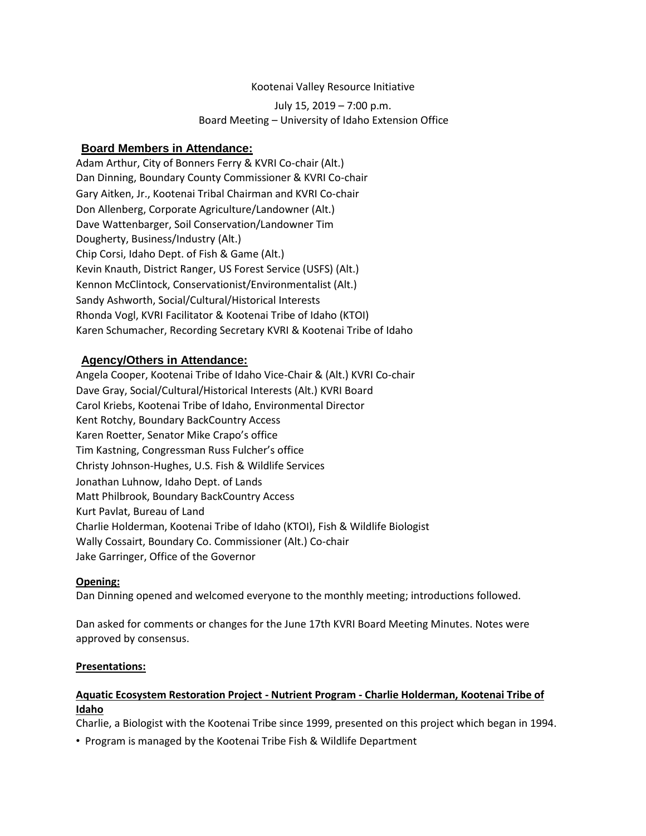#### Kootenai Valley Resource Initiative

July 15, 2019 – 7:00 p.m. Board Meeting – University of Idaho Extension Office

# **Board Members in Attendance:**

Adam Arthur, City of Bonners Ferry & KVRI Co-chair (Alt.) Dan Dinning, Boundary County Commissioner & KVRI Co-chair Gary Aitken, Jr., Kootenai Tribal Chairman and KVRI Co-chair Don Allenberg, Corporate Agriculture/Landowner (Alt.) Dave Wattenbarger, Soil Conservation/Landowner Tim Dougherty, Business/Industry (Alt.) Chip Corsi, Idaho Dept. of Fish & Game (Alt.) Kevin Knauth, District Ranger, US Forest Service (USFS) (Alt.) Kennon McClintock, Conservationist/Environmentalist (Alt.) Sandy Ashworth, Social/Cultural/Historical Interests Rhonda Vogl, KVRI Facilitator & Kootenai Tribe of Idaho (KTOI) Karen Schumacher, Recording Secretary KVRI & Kootenai Tribe of Idaho

# **Agency/Others in Attendance:**

Angela Cooper, Kootenai Tribe of Idaho Vice-Chair & (Alt.) KVRI Co-chair Dave Gray, Social/Cultural/Historical Interests (Alt.) KVRI Board Carol Kriebs, Kootenai Tribe of Idaho, Environmental Director Kent Rotchy, Boundary BackCountry Access Karen Roetter, Senator Mike Crapo's office Tim Kastning, Congressman Russ Fulcher's office Christy Johnson-Hughes, U.S. Fish & Wildlife Services Jonathan Luhnow, Idaho Dept. of Lands Matt Philbrook, Boundary BackCountry Access Kurt Pavlat, Bureau of Land Charlie Holderman, Kootenai Tribe of Idaho (KTOI), Fish & Wildlife Biologist Wally Cossairt, Boundary Co. Commissioner (Alt.) Co-chair Jake Garringer, Office of the Governor

#### **Opening:**

Dan Dinning opened and welcomed everyone to the monthly meeting; introductions followed.

Dan asked for comments or changes for the June 17th KVRI Board Meeting Minutes. Notes were approved by consensus.

#### **Presentations:**

#### **Aquatic Ecosystem Restoration Project - Nutrient Program - Charlie Holderman, Kootenai Tribe of Idaho**

Charlie, a Biologist with the Kootenai Tribe since 1999, presented on this project which began in 1994.

• Program is managed by the Kootenai Tribe Fish & Wildlife Department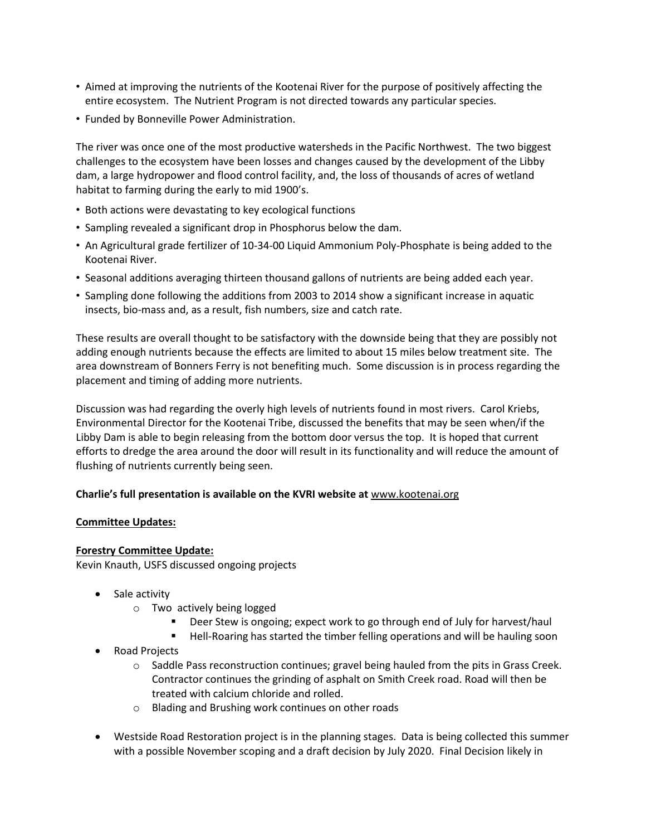- Aimed at improving the nutrients of the Kootenai River for the purpose of positively affecting the entire ecosystem. The Nutrient Program is not directed towards any particular species.
- Funded by Bonneville Power Administration.

The river was once one of the most productive watersheds in the Pacific Northwest. The two biggest challenges to the ecosystem have been losses and changes caused by the development of the Libby dam, a large hydropower and flood control facility, and, the loss of thousands of acres of wetland habitat to farming during the early to mid 1900's.

- Both actions were devastating to key ecological functions
- Sampling revealed a significant drop in Phosphorus below the dam.
- An Agricultural grade fertilizer of 10-34-00 Liquid Ammonium Poly-Phosphate is being added to the Kootenai River.
- Seasonal additions averaging thirteen thousand gallons of nutrients are being added each year.
- Sampling done following the additions from 2003 to 2014 show a significant increase in aquatic insects, bio-mass and, as a result, fish numbers, size and catch rate.

These results are overall thought to be satisfactory with the downside being that they are possibly not adding enough nutrients because the effects are limited to about 15 miles below treatment site. The area downstream of Bonners Ferry is not benefiting much. Some discussion is in process regarding the placement and timing of adding more nutrients.

Discussion was had regarding the overly high levels of nutrients found in most rivers. Carol Kriebs, Environmental Director for the Kootenai Tribe, discussed the benefits that may be seen when/if the Libby Dam is able to begin releasing from the bottom door versus the top. It is hoped that current efforts to dredge the area around the door will result in its functionality and will reduce the amount of flushing of nutrients currently being seen.

#### **Charlie's full presentation is available on the KVRI website at** [www.kootenai.org](http://www.kootenai.org/)

#### **Committee Updates:**

#### **Forestry Committee Update:**

Kevin Knauth, USFS discussed ongoing projects

- Sale activity
	- o Two actively being logged
		- Deer Stew is ongoing; expect work to go through end of July for harvest/haul
		- Hell-Roaring has started the timber felling operations and will be hauling soon
- Road Projects
	- $\circ$  Saddle Pass reconstruction continues; gravel being hauled from the pits in Grass Creek. Contractor continues the grinding of asphalt on Smith Creek road. Road will then be treated with calcium chloride and rolled.
	- o Blading and Brushing work continues on other roads
- Westside Road Restoration project is in the planning stages. Data is being collected this summer with a possible November scoping and a draft decision by July 2020. Final Decision likely in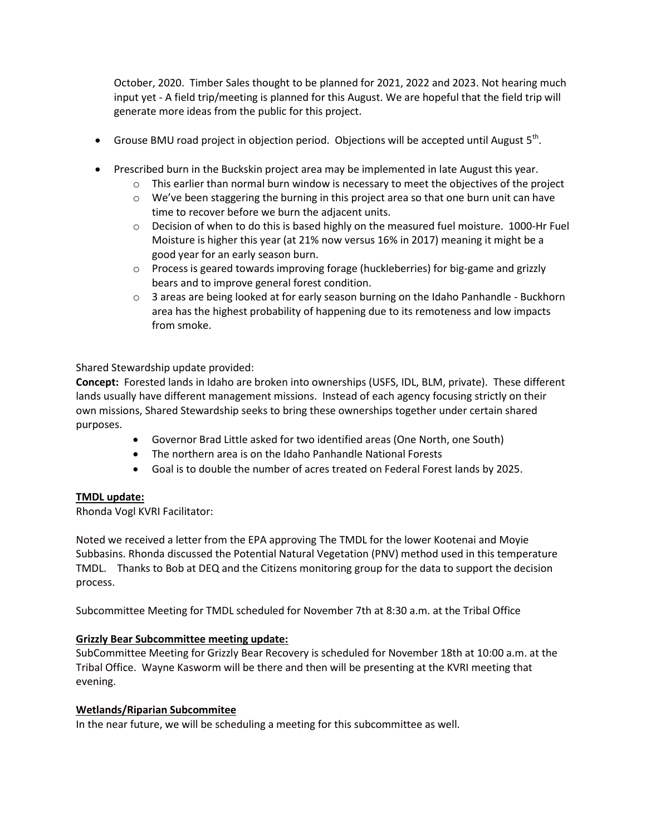October, 2020. Timber Sales thought to be planned for 2021, 2022 and 2023. Not hearing much input yet - A field trip/meeting is planned for this August. We are hopeful that the field trip will generate more ideas from the public for this project.

- Grouse BMU road project in objection period. Objections will be accepted until August  $5<sup>th</sup>$ .
- Prescribed burn in the Buckskin project area may be implemented in late August this year.
	- $\circ$  This earlier than normal burn window is necessary to meet the objectives of the project
	- $\circ$  We've been staggering the burning in this project area so that one burn unit can have time to recover before we burn the adjacent units.
	- $\circ$  Decision of when to do this is based highly on the measured fuel moisture. 1000-Hr Fuel Moisture is higher this year (at 21% now versus 16% in 2017) meaning it might be a good year for an early season burn.
	- o Process is geared towards improving forage (huckleberries) for big-game and grizzly bears and to improve general forest condition.
	- $\circ$  3 areas are being looked at for early season burning on the Idaho Panhandle Buckhorn area has the highest probability of happening due to its remoteness and low impacts from smoke.

Shared Stewardship update provided:

**Concept:** Forested lands in Idaho are broken into ownerships (USFS, IDL, BLM, private). These different lands usually have different management missions. Instead of each agency focusing strictly on their own missions, Shared Stewardship seeks to bring these ownerships together under certain shared purposes.

- Governor Brad Little asked for two identified areas (One North, one South)
- The northern area is on the Idaho Panhandle National Forests
- Goal is to double the number of acres treated on Federal Forest lands by 2025.

#### **TMDL update:**

Rhonda Vogl KVRI Facilitator:

Noted we received a letter from the EPA approving The TMDL for the lower Kootenai and Moyie Subbasins. Rhonda discussed the Potential Natural Vegetation (PNV) method used in this temperature TMDL. Thanks to Bob at DEQ and the Citizens monitoring group for the data to support the decision process.

Subcommittee Meeting for TMDL scheduled for November 7th at 8:30 a.m. at the Tribal Office

#### **Grizzly Bear Subcommittee meeting update:**

SubCommittee Meeting for Grizzly Bear Recovery is scheduled for November 18th at 10:00 a.m. at the Tribal Office. Wayne Kasworm will be there and then will be presenting at the KVRI meeting that evening.

#### **Wetlands/Riparian Subcommitee**

In the near future, we will be scheduling a meeting for this subcommittee as well.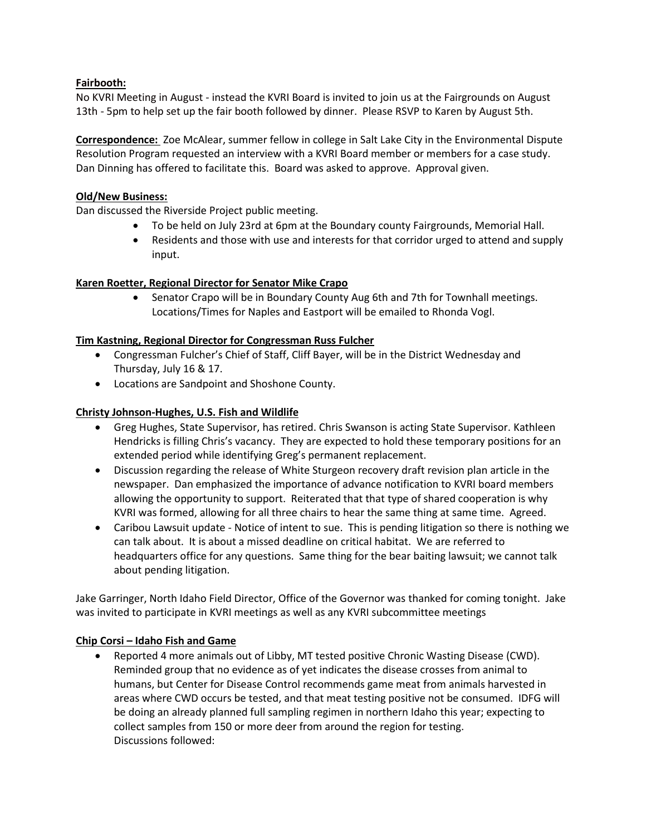# **Fairbooth:**

No KVRI Meeting in August - instead the KVRI Board is invited to join us at the Fairgrounds on August 13th - 5pm to help set up the fair booth followed by dinner. Please RSVP to Karen by August 5th.

**Correspondence:** Zoe McAlear, summer fellow in college in Salt Lake City in the Environmental Dispute Resolution Program requested an interview with a KVRI Board member or members for a case study. Dan Dinning has offered to facilitate this. Board was asked to approve. Approval given.

#### **Old/New Business:**

Dan discussed the Riverside Project public meeting.

- To be held on July 23rd at 6pm at the Boundary county Fairgrounds, Memorial Hall.
- Residents and those with use and interests for that corridor urged to attend and supply input.

# **Karen Roetter, Regional Director for Senator Mike Crapo**

• Senator Crapo will be in Boundary County Aug 6th and 7th for Townhall meetings. Locations/Times for Naples and Eastport will be emailed to Rhonda Vogl.

# **Tim Kastning, Regional Director for Congressman Russ Fulcher**

- Congressman Fulcher's Chief of Staff, Cliff Bayer, will be in the District Wednesday and Thursday, July 16 & 17.
- Locations are Sandpoint and Shoshone County.

# **Christy Johnson-Hughes, U.S. Fish and Wildlife**

- Greg Hughes, State Supervisor, has retired. Chris Swanson is acting State Supervisor. Kathleen Hendricks is filling Chris's vacancy. They are expected to hold these temporary positions for an extended period while identifying Greg's permanent replacement.
- Discussion regarding the release of White Sturgeon recovery draft revision plan article in the newspaper. Dan emphasized the importance of advance notification to KVRI board members allowing the opportunity to support. Reiterated that that type of shared cooperation is why KVRI was formed, allowing for all three chairs to hear the same thing at same time. Agreed.
- Caribou Lawsuit update Notice of intent to sue. This is pending litigation so there is nothing we can talk about. It is about a missed deadline on critical habitat. We are referred to headquarters office for any questions. Same thing for the bear baiting lawsuit; we cannot talk about pending litigation.

Jake Garringer, North Idaho Field Director, Office of the Governor was thanked for coming tonight. Jake was invited to participate in KVRI meetings as well as any KVRI subcommittee meetings

#### **Chip Corsi – Idaho Fish and Game**

 Reported 4 more animals out of Libby, MT tested positive Chronic Wasting Disease (CWD). Reminded group that no evidence as of yet indicates the disease crosses from animal to humans, but Center for Disease Control recommends game meat from animals harvested in areas where CWD occurs be tested, and that meat testing positive not be consumed. IDFG will be doing an already planned full sampling regimen in northern Idaho this year; expecting to collect samples from 150 or more deer from around the region for testing. Discussions followed: